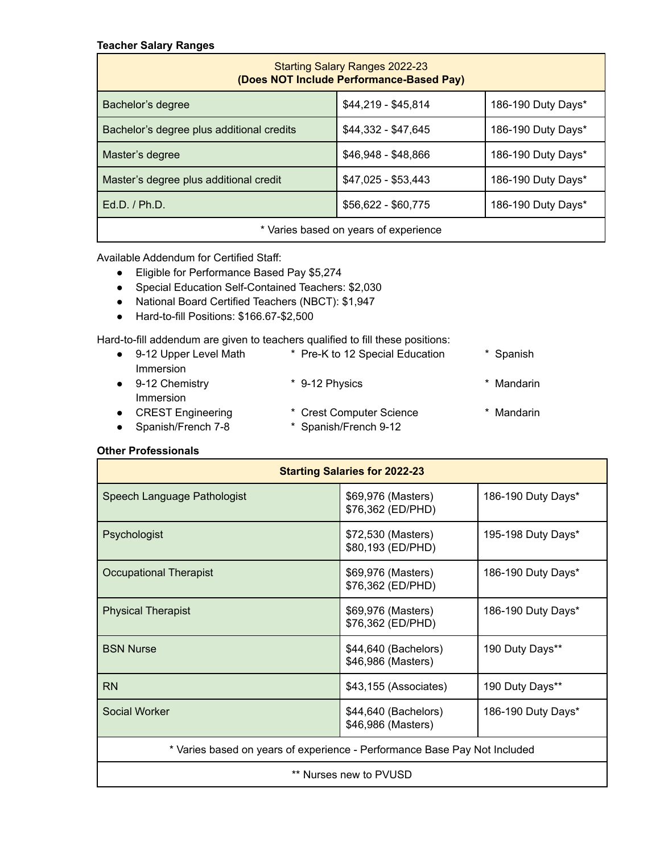## **Teacher Salary Ranges**

| <b>Starting Salary Ranges 2022-23</b><br>(Does NOT Include Performance-Based Pay) |                     |                    |  |  |  |  |  |  |
|-----------------------------------------------------------------------------------|---------------------|--------------------|--|--|--|--|--|--|
| Bachelor's degree                                                                 | \$44,219 - \$45,814 | 186-190 Duty Days* |  |  |  |  |  |  |
| Bachelor's degree plus additional credits                                         | $$44,332 - $47,645$ | 186-190 Duty Days* |  |  |  |  |  |  |
| Master's degree                                                                   | \$46,948 - \$48,866 | 186-190 Duty Days* |  |  |  |  |  |  |
| Master's degree plus additional credit                                            | $$47,025 - $53,443$ | 186-190 Duty Days* |  |  |  |  |  |  |
| $Ed.D.$ / $Ph.D.$                                                                 | \$56,622 - \$60,775 | 186-190 Duty Days* |  |  |  |  |  |  |
| * Varies based on years of experience                                             |                     |                    |  |  |  |  |  |  |

Available Addendum for Certified Staff:

- Eligible for Performance Based Pay \$5,274
- Special Education Self-Contained Teachers: \$2,030
- National Board Certified Teachers (NBCT): \$1,947
- Hard-to-fill Positions: \$166.67-\$2,500

Hard-to-fill addendum are given to teachers qualified to fill these positions:

| $\bullet$ | 9-12 Upper Level Math    | * Pre-K to 12 Special Education | * Spanish  |
|-----------|--------------------------|---------------------------------|------------|
|           | Immersion                |                                 |            |
| $\bullet$ | 9-12 Chemistry           | * 9-12 Physics                  | * Mandarin |
|           | <b>Immersion</b>         |                                 |            |
| $\bullet$ | <b>CREST Engineering</b> | * Crest Computer Science        | * Mandarin |
| $\bullet$ | Spanish/French 7-8       | * Spanish/French 9-12           |            |
|           |                          |                                 |            |

## **Other Professionals**

| <b>Starting Salaries for 2022-23</b>                                      |                                            |                    |  |  |  |  |  |  |
|---------------------------------------------------------------------------|--------------------------------------------|--------------------|--|--|--|--|--|--|
| Speech Language Pathologist                                               | \$69,976 (Masters)<br>\$76,362 (ED/PHD)    | 186-190 Duty Days* |  |  |  |  |  |  |
| Psychologist                                                              | \$72,530 (Masters)<br>\$80,193 (ED/PHD)    | 195-198 Duty Days* |  |  |  |  |  |  |
| <b>Occupational Therapist</b>                                             | \$69,976 (Masters)<br>\$76,362 (ED/PHD)    | 186-190 Duty Days* |  |  |  |  |  |  |
| <b>Physical Therapist</b>                                                 | \$69,976 (Masters)<br>\$76,362 (ED/PHD)    | 186-190 Duty Days* |  |  |  |  |  |  |
| <b>BSN Nurse</b>                                                          | \$44,640 (Bachelors)<br>\$46,986 (Masters) | 190 Duty Days**    |  |  |  |  |  |  |
| <b>RN</b>                                                                 | \$43,155 (Associates)                      | 190 Duty Days**    |  |  |  |  |  |  |
| Social Worker                                                             | \$44,640 (Bachelors)<br>\$46,986 (Masters) | 186-190 Duty Days* |  |  |  |  |  |  |
| * Varies based on years of experience - Performance Base Pay Not Included |                                            |                    |  |  |  |  |  |  |
| ** Nurses new to PVUSD                                                    |                                            |                    |  |  |  |  |  |  |